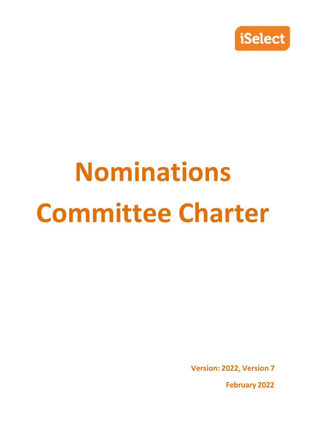

# **Nominations Committee Charter**

**Version: 2022, Version 7**

**February 2022**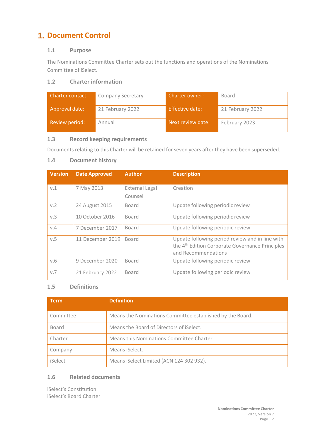# **1. Document Control**

# **1.1 Purpose**

The Nominations Committee Charter sets out the functions and operations of the Nominations Committee of iSelect.

# **1.2 Charter information**

| <b>Charter contact:</b> | <b>Company Secretary</b> | <b>Charter owner:</b> | Board            |
|-------------------------|--------------------------|-----------------------|------------------|
| Approval date:          | 21 February 2022         | Effective date:       | 21 February 2022 |
| Review period:          | Annual                   | Next review date:     | February 2023    |

# **1.3 Record keeping requirements**

Documents relating to this Charter will be retained for seven years after they have been superseded.

# **1.4 Document history**

| <b>Version</b> | <b>Date Approved</b> | <b>Author</b>                    | <b>Description</b>                                                                                                                    |
|----------------|----------------------|----------------------------------|---------------------------------------------------------------------------------------------------------------------------------------|
| V.1            | 7 May 2013           | <b>External Legal</b><br>Counsel | Creation                                                                                                                              |
| v.2            | 24 August 2015       | Board                            | Update following periodic review                                                                                                      |
| v.3            | 10 October 2016      | Board                            | Update following periodic review                                                                                                      |
| V.4            | 7 December 2017      | <b>Board</b>                     | Update following periodic review                                                                                                      |
| v.5            | 11 December 2019     | <b>Board</b>                     | Update following period review and in line with<br>the 4 <sup>th</sup> Edition Corporate Governance Principles<br>and Recommendations |
| V.6            | 9 December 2020      | Board                            | Update following periodic review                                                                                                      |
| V.7            | 21 February 2022     | Board                            | Update following periodic review                                                                                                      |

# **1.5 Definitions**

| Term.     | <b>Definition</b>                                         |
|-----------|-----------------------------------------------------------|
| Committee | Means the Nominations Committee established by the Board. |
| Board     | Means the Board of Directors of iSelect.                  |
| Charter   | Means this Nominations Committee Charter.                 |
| Company   | Means iSelect.                                            |
| iSelect   | Means iSelect Limited (ACN 124 302 932).                  |

# **1.6 Related documents**

iSelect's Constitution iSelect's Board Charter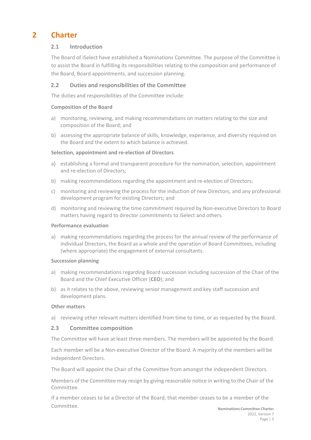# **2 Charter**

# **2.1 Introduction**

The Board of iSelect have established a Nominations Committee. The purpose of the Committee is to assist the Board in fulfilling its responsibilities relating to the composition and performance of the Board, Board appointments, and succession planning.

# **2.2 Duties and responsibilities of the Committee**

The duties and responsibilities of the Committee include:

#### **Composition of the Board**

- a) monitoring, reviewing, and making recommendations on matters relating to the size and composition of the Board; and
- b) assessing the appropriate balance of skills, knowledge, experience, and diversity required on the Board and the extent to which balance is achieved.

#### **Selection, appointment and re‐election of Directors**

- a) establishing a formal and transparent procedure for the nomination, selection, appointment and re-election of Directors;
- b) making recommendations regarding the appointment and re-election of Directors;
- c) monitoring and reviewing the process for the induction of new Directors, and any professional development program for existing Directors; and
- d) monitoring and reviewing the time commitment required by Non-executive Directors to Board matters having regard to director commitments to iSelect and others.

#### **Performance evaluation**

a) making recommendations regarding the process for the annual review of the performance of individual Directors, the Board as a whole and the operation of Board Committees, including (where appropriate) the engagement of external consultants.

#### **Succession planning**

- a) making recommendations regarding Board succession including succession of the Chair of the Board and the Chief Executive Officer (**CEO**); and
- b) as it relates to the above, reviewing senior management and key staff succession and development plans.

#### **Other matters**

a) reviewing other relevant matters identified from time to time, or as requested by the Board.

# **2.3 Committee composition**

The Committee will have at least three members. The members will be appointed by the Board.

Each member will be a Non‐executive Director of the Board. A majority of the members will be independent Directors.

The Board will appoint the Chair of the Committee from amongst the independent Directors.

Members of the Committee may resign by giving reasonable notice in writing to the Chair of the Committee.

If a member ceases to be a Director of the Board, that member ceases to be a member of the Committee.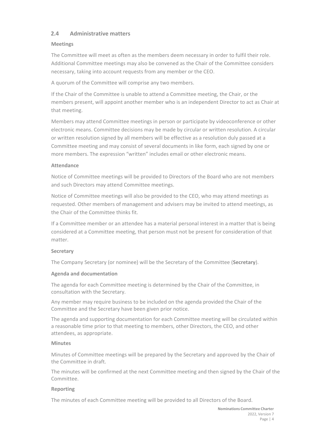# **2.4 Administrative matters**

# **Meetings**

The Committee will meet as often as the members deem necessary in order to fulfil their role. Additional Committee meetings may also be convened as the Chair of the Committee considers necessary, taking into account requests from any member or the CEO.

A quorum of the Committee will comprise any two members.

If the Chair of the Committee is unable to attend a Committee meeting, the Chair, or the members present, will appoint another member who is an independent Director to act as Chair at that meeting.

Members may attend Committee meetings in person or participate by videoconference or other electronic means. Committee decisions may be made by circular or written resolution. A circular or written resolution signed by all members will be effective as a resolution duly passed at a Committee meeting and may consist of several documents in like form, each signed by one or more members. The expression "written" includes email or other electronic means.

# **Attendance**

Notice of Committee meetings will be provided to Directors of the Board who are not members and such Directors may attend Committee meetings.

Notice of Committee meetings will also be provided to the CEO, who may attend meetings as requested. Other members of management and advisers may be invited to attend meetings, as the Chair of the Committee thinks fit.

If a Committee member or an attendee has a material personal interest in a matter that is being considered at a Committee meeting, that person must not be present for consideration of that matter.

# **Secretary**

The Company Secretary (or nominee) will be the Secretary of the Committee (**Secretary**).

# **Agenda and documentation**

The agenda for each Committee meeting is determined by the Chair of the Committee, in consultation with the Secretary.

Any member may require business to be included on the agenda provided the Chair of the Committee and the Secretary have been given prior notice.

The agenda and supporting documentation for each Committee meeting will be circulated within a reasonable time prior to that meeting to members, other Directors, the CEO, and other attendees, as appropriate.

# **Minutes**

Minutes of Committee meetings will be prepared by the Secretary and approved by the Chair of the Committee in draft.

The minutes will be confirmed at the next Committee meeting and then signed by the Chair of the Committee.

# **Reporting**

The minutes of each Committee meeting will be provided to all Directors of the Board.